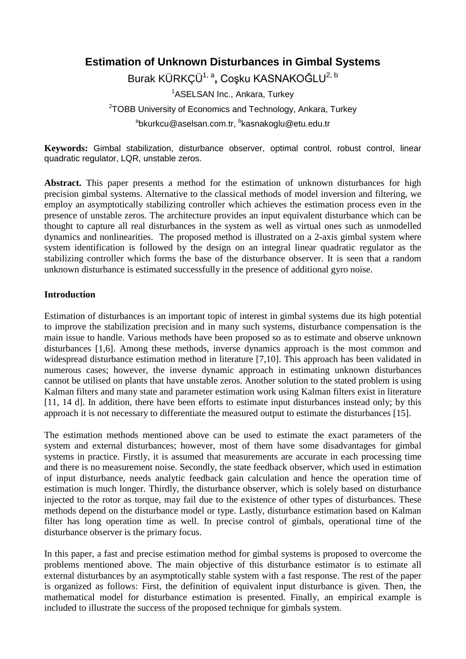# **Estimation of Unknown Disturbances in Gimbal Systems**

Burak KÜRKÇÜ1, a**,** Coşku KASNAKOĞLU2, <sup>b</sup>

<sup>1</sup>ASELSAN Inc., Ankara, Turkey

<sup>2</sup>TOBB University of Economics and Technology, Ankara, Turkey <sup>a</sup>bkurkcu@aselsan.com.tr, <sup>b</sup>kasnakoglu@etu.edu.tr

**Keywords:** Gimbal stabilization, disturbance observer, optimal control, robust control, linear quadratic regulator, LQR, unstable zeros.

**Abstract.** This paper presents a method for the estimation of unknown disturbances for high precision gimbal systems. Alternative to the classical methods of model inversion and filtering, we employ an asymptotically stabilizing controller which achieves the estimation process even in the presence of unstable zeros. The architecture provides an input equivalent disturbance which can be thought to capture all real disturbances in the system as well as virtual ones such as unmodelled dynamics and nonlinearities. The proposed method is illustrated on a 2-axis gimbal system where system identification is followed by the design on an integral linear quadratic regulator as the stabilizing controller which forms the base of the disturbance observer. It is seen that a random unknown disturbance is estimated successfully in the presence of additional gyro noise.

# **Introduction**

Estimation of disturbances is an important topic of interest in gimbal systems due its high potential to improve the stabilization precision and in many such systems, disturbance compensation is the main issue to handle. Various methods have been proposed so as to estimate and observe unknown disturbances [1,6]. Among these methods, inverse dynamics approach is the most common and widespread disturbance estimation method in literature [7,10]. This approach has been validated in numerous cases; however, the inverse dynamic approach in estimating unknown disturbances cannot be utilised on plants that have unstable zeros. Another solution to the stated problem is using Kalman filters and many state and parameter estimation work using Kalman filters exist in literature [11, 14 d]. In addition, there have been efforts to estimate input disturbances instead only; by this approach it is not necessary to differentiate the measured output to estimate the disturbances [15].

The estimation methods mentioned above can be used to estimate the exact parameters of the system and external disturbances; however, most of them have some disadvantages for gimbal systems in practice. Firstly, it is assumed that measurements are accurate in each processing time and there is no measurement noise. Secondly, the state feedback observer, which used in estimation of input disturbance, needs analytic feedback gain calculation and hence the operation time of estimation is much longer. Thirdly, the disturbance observer, which is solely based on disturbance injected to the rotor as torque, may fail due to the existence of other types of disturbances. These methods depend on the disturbance model or type. Lastly, disturbance estimation based on Kalman filter has long operation time as well. In precise control of gimbals, operational time of the disturbance observer is the primary focus.

In this paper, a fast and precise estimation method for gimbal systems is proposed to overcome the problems mentioned above. The main objective of this disturbance estimator is to estimate all external disturbances by an asymptotically stable system with a fast response. The rest of the paper is organized as follows: First, the definition of equivalent input disturbance is given. Then, the mathematical model for disturbance estimation is presented. Finally, an empirical example is included to illustrate the success of the proposed technique for gimbals system.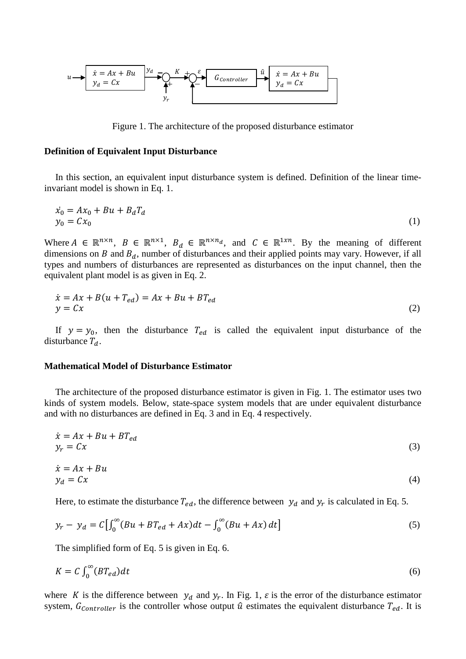

Figure 1. The architecture of the proposed disturbance estimator

#### **Definition of Equivalent Input Disturbance**

In this section, an equivalent input disturbance system is defined. Definition of the linear timeinvariant model is shown in Eq. 1.

$$
\begin{aligned} \dot{x}_0 &= A x_0 + B u + B_d T_d \\ y_0 &= C x_0 \end{aligned} \tag{1}
$$

Where  $A \in \mathbb{R}^{n \times n}$ ,  $B \in \mathbb{R}^{n \times 1}$ ,  $B_d \in \mathbb{R}^{n \times n_d}$ , and  $C \in \mathbb{R}^{1 \times n}$ . By the meaning of different dimensions on  $B$  and  $B_d$ , number of disturbances and their applied points may vary. However, if all types and numbers of disturbances are represented as disturbances on the input channel, then the equivalent plant model is as given in Eq. 2.

$$
\begin{aligned} \dot{x} &= Ax + B(u + T_{ed}) = Ax + Bu + BT_{ed} \\ y &= Cx \end{aligned} \tag{2}
$$

If  $y = y_0$ , then the disturbance  $T_{ed}$  is called the equivalent input disturbance of the disturbance  $T_d$ .

#### **Mathematical Model of Disturbance Estimator**

The architecture of the proposed disturbance estimator is given in Fig. 1. The estimator uses two kinds of system models. Below, state-space system models that are under equivalent disturbance and with no disturbances are defined in Eq. 3 and in Eq. 4 respectively.

$$
\begin{aligned} \dot{x} &= Ax + Bu + BT_{ed} \\ y_r &= Cx \end{aligned} \tag{3}
$$

$$
\begin{aligned} \dot{x} &= Ax + Bu \\ y_d &= Cx \end{aligned} \tag{4}
$$

Here, to estimate the disturbance  $T_{ed}$ , the difference between  $y_d$  and  $y_r$  is calculated in Eq. 5.

$$
y_r - y_d = C \left[ \int_0^{\infty} (Bu + BT_{ed} + Ax) dt - \int_0^{\infty} (Bu + Ax) dt \right]
$$
 (5)

The simplified form of Eq. 5 is given in Eq. 6.

$$
K = C \int_0^\infty (BT_{ed})dt \tag{6}
$$

where K is the difference between  $y_d$  and  $y_r$ . In Fig. 1,  $\varepsilon$  is the error of the disturbance estimator system,  $G_{\text{contracter}}$  is the controller whose output  $\hat{u}$  estimates the equivalent disturbance  $T_{ed}$ . It is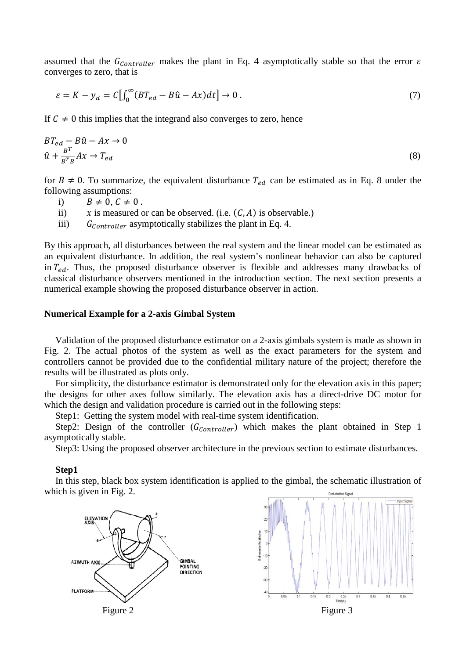assumed that the  $G_{Controller}$  makes the plant in Eq. 4 asymptotically stable so that the error  $\varepsilon$ converges to zero, that is

$$
\varepsilon = K - y_d = C \left[ \int_0^\infty (BT_{ed} - B\hat{u} - Ax) dt \right] \to 0. \tag{7}
$$

If  $C \neq 0$  this implies that the integrand also converges to zero, hence

$$
BT_{ed} - B\hat{u} - Ax \to 0
$$
  

$$
\hat{u} + \frac{B^T}{B^T B} Ax \to T_{ed}
$$
 (8)

for  $B \neq 0$ . To summarize, the equivalent disturbance  $T_{ed}$  can be estimated as in Eq. 8 under the following assumptions:

i)  $B \neq 0, C \neq 0$ .<br>ii)  $x$  is measured of

ii)  $x$  is measured or can be observed. (i.e.  $(C, A)$  is observable.)<br>iii)  $G_{Contreller}$  asymptotically stabilizes the plant in Eq. 4.

 $G_{\text{Contractive}}$  asymptotically stabilizes the plant in Eq. 4.

By this approach, all disturbances between the real system and the linear model can be estimated as an equivalent disturbance. In addition, the real system's nonlinear behavior can also be captured in  $T_{ed}$ . Thus, the proposed disturbance observer is flexible and addresses many drawbacks of classical disturbance observers mentioned in the introduction section. The next section presents a numerical example showing the proposed disturbance observer in action.

# **Numerical Example for a 2-axis Gimbal System**

Validation of the proposed disturbance estimator on a 2-axis gimbals system is made as shown in Fig. 2. The actual photos of the system as well as the exact parameters for the system and controllers cannot be provided due to the confidential military nature of the project; therefore the results will be illustrated as plots only.

For simplicity, the disturbance estimator is demonstrated only for the elevation axis in this paper; the designs for other axes follow similarly. The elevation axis has a direct-drive DC motor for which the design and validation procedure is carried out in the following steps:

Step1: Getting the system model with real-time system identification.

Step2: Design of the controller  $(G_{Controller})$  which makes the plant obtained in Step 1 asymptotically stable.

Step3: Using the proposed observer architecture in the previous section to estimate disturbances.

#### **Step1**

In this step, black box system identification is applied to the gimbal, the schematic illustration of which is given in Fig. 2.



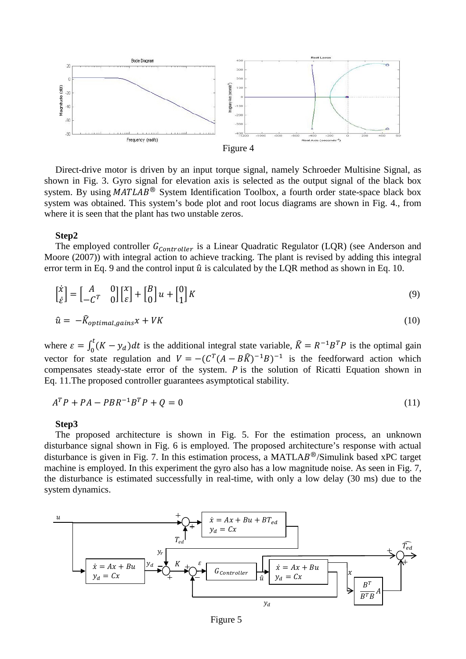



Direct-drive motor is driven by an input torque signal, namely Schroeder Multisine Signal, as shown in Fig. 3. Gyro signal for elevation axis is selected as the output signal of the black box system. By using  $MATLAB^{\circledR}$  System Identification Toolbox, a fourth order state-space black box system was obtained. This system's bode plot and root locus diagrams are shown in Fig. 4., from where it is seen that the plant has two unstable zeros.

## **Step2**

The employed controller  $G_{Controller}$  is a Linear Quadratic Regulator (LQR) (see Anderson and Moore (2007)) with integral action to achieve tracking. The plant is revised by adding this integral error term in Eq. 9 and the control input  $\hat{u}$  is calculated by the LQR method as shown in Eq. 10.

$$
\begin{bmatrix} \dot{x} \\ \dot{\varepsilon} \end{bmatrix} = \begin{bmatrix} A & 0 \\ -C^T & 0 \end{bmatrix} \begin{bmatrix} x \\ \varepsilon \end{bmatrix} + \begin{bmatrix} B \\ 0 \end{bmatrix} u + \begin{bmatrix} 0 \\ 1 \end{bmatrix} K \tag{9}
$$

$$
\hat{u} = -\hat{K}_{optimal, gains} x + VK \tag{10}
$$

where  $\varepsilon = \int_0^t (K - y_d) dt$  is the additional integral state variable,  $\hat{K} = R^{-1}B^T P$  is the optimal gain vector for state regulation and  $V = -(C^T(A - B\hat{K})^{-1}B)^{-1}$  is the feedforward action which compensates steady-state error of the system.  $P$  is the solution of Ricatti Equation shown in Eq. 11.The proposed controller guarantees asymptotical stability.

$$
ATP + PA - PBR-1BTP + Q = 0
$$
\n(11)

#### **Step3**

The proposed architecture is shown in Fig. 5. For the estimation process, an unknown disturbance signal shown in Fig. 6 is employed. The proposed architecture's response with actual disturbance is given in Fig. 7. In this estimation process, a MATLA $B^{\circledR}/S$ imulink based xPC target machine is employed. In this experiment the gyro also has a low magnitude noise. As seen in Fig. 7, the disturbance is estimated successfully in real-time, with only a low delay (30 ms) due to the system dynamics.



Figure 5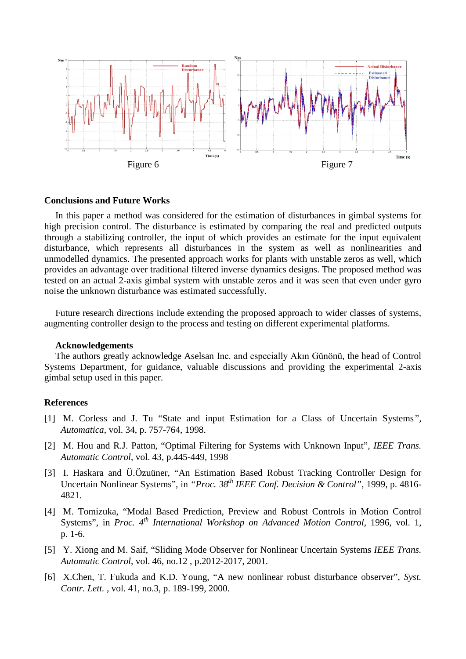

## **Conclusions and Future Works**

In this paper a method was considered for the estimation of disturbances in gimbal systems for high precision control. The disturbance is estimated by comparing the real and predicted outputs through a stabilizing controller, the input of which provides an estimate for the input equivalent disturbance, which represents all disturbances in the system as well as nonlinearities and unmodelled dynamics. The presented approach works for plants with unstable zeros as well, which provides an advantage over traditional filtered inverse dynamics designs. The proposed method was tested on an actual 2-axis gimbal system with unstable zeros and it was seen that even under gyro noise the unknown disturbance was estimated successfully.

Future research directions include extending the proposed approach to wider classes of systems, augmenting controller design to the process and testing on different experimental platforms.

#### **Acknowledgements**

The authors greatly acknowledge Aselsan Inc. and especially Akın Günönü, the head of Control Systems Department, for guidance, valuable discussions and providing the experimental 2-axis gimbal setup used in this paper.

# **References**

- [1] M. Corless and J. Tu "State and input Estimation for a Class of Uncertain Systems*", Automatica*, vol. 34, p. 757-764, 1998.
- [2] M. Hou and R.J. Patton, "Optimal Filtering for Systems with Unknown Input"*, IEEE Trans. Automatic Control*, vol. 43, p.445-449, 1998
- [3] I. Haskara and Ü.Özuüner, "An Estimation Based Robust Tracking Controller Design for Uncertain Nonlinear Systems", in *"Proc. 38th IEEE Conf. Decision & Control"*, 1999, p. 4816- 4821.
- [4] M. Tomizuka, "Modal Based Prediction, Preview and Robust Controls in Motion Control Systems", in *Proc.* 4<sup>th</sup> *International Workshop on Advanced Motion Control*, 1996, vol. 1, p. 1-6.
- [5] Y. Xiong and M. Saif, "Sliding Mode Observer for Nonlinear Uncertain Systems *IEEE Trans. Automatic Control*, vol. 46, no.12 , p.2012-2017, 2001.
- [6] X.Chen, T. Fukuda and K.D. Young, "A new nonlinear robust disturbance observer"*, Syst. Contr. Lett.* , vol. 41, no.3, p. 189-199, 2000.